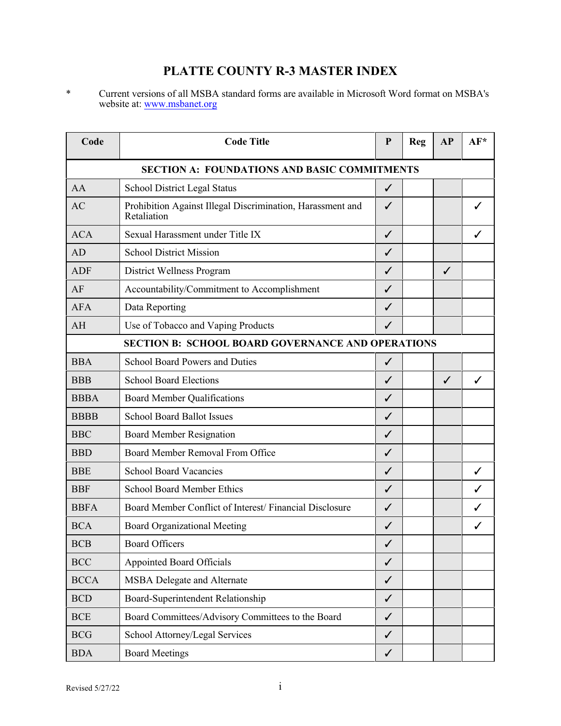## **PLATTE COUNTY R-3 MASTER INDEX**

\* Current versions of all MSBA standard forms are available in Microsoft Word format on MSBA's website at: [www.msbanet.org](http://www.msbanet.org)

| Code                                                     | <b>Code Title</b>                                                         | P            | Reg | AP | AF* |  |  |
|----------------------------------------------------------|---------------------------------------------------------------------------|--------------|-----|----|-----|--|--|
| <b>SECTION A: FOUNDATIONS AND BASIC COMMITMENTS</b>      |                                                                           |              |     |    |     |  |  |
| AA                                                       | <b>School District Legal Status</b>                                       | $\checkmark$ |     |    |     |  |  |
| AC                                                       | Prohibition Against Illegal Discrimination, Harassment and<br>Retaliation | ✓            |     |    |     |  |  |
| <b>ACA</b>                                               | Sexual Harassment under Title IX                                          | $\checkmark$ |     |    |     |  |  |
| AD                                                       | <b>School District Mission</b>                                            | ✓            |     |    |     |  |  |
| <b>ADF</b>                                               | District Wellness Program                                                 | ✓            |     | ✓  |     |  |  |
| AF                                                       | Accountability/Commitment to Accomplishment                               | $\checkmark$ |     |    |     |  |  |
| <b>AFA</b>                                               | Data Reporting                                                            | ✓            |     |    |     |  |  |
| AH                                                       | Use of Tobacco and Vaping Products                                        | ✓            |     |    |     |  |  |
| <b>SECTION B: SCHOOL BOARD GOVERNANCE AND OPERATIONS</b> |                                                                           |              |     |    |     |  |  |
| <b>BBA</b>                                               | <b>School Board Powers and Duties</b>                                     | $\checkmark$ |     |    |     |  |  |
| <b>BBB</b>                                               | <b>School Board Elections</b>                                             | ✓            |     | ✓  | ✓   |  |  |
| <b>BBBA</b>                                              | <b>Board Member Qualifications</b>                                        | $\checkmark$ |     |    |     |  |  |
| <b>BBBB</b>                                              | <b>School Board Ballot Issues</b>                                         | ✓            |     |    |     |  |  |
| <b>BBC</b>                                               | <b>Board Member Resignation</b>                                           | ✓            |     |    |     |  |  |
| <b>BBD</b>                                               | Board Member Removal From Office                                          | $\checkmark$ |     |    |     |  |  |
| <b>BBE</b>                                               | <b>School Board Vacancies</b>                                             | ✓            |     |    | ✓   |  |  |
| <b>BBF</b>                                               | <b>School Board Member Ethics</b>                                         | ✓            |     |    |     |  |  |
| <b>BBFA</b>                                              | Board Member Conflict of Interest/Financial Disclosure                    | ✓            |     |    |     |  |  |
| <b>BCA</b>                                               | <b>Board Organizational Meeting</b>                                       | ✓            |     |    |     |  |  |
| <b>BCB</b>                                               | <b>Board Officers</b>                                                     | ✓            |     |    |     |  |  |
| <b>BCC</b>                                               | <b>Appointed Board Officials</b>                                          | $\checkmark$ |     |    |     |  |  |
| <b>BCCA</b>                                              | <b>MSBA Delegate and Alternate</b>                                        | $\checkmark$ |     |    |     |  |  |
| <b>BCD</b>                                               | Board-Superintendent Relationship                                         | $\checkmark$ |     |    |     |  |  |
| $\operatorname{BCE}$                                     | Board Committees/Advisory Committees to the Board                         | $\checkmark$ |     |    |     |  |  |
| BCG                                                      | School Attorney/Legal Services                                            | $\checkmark$ |     |    |     |  |  |
| <b>BDA</b>                                               | <b>Board Meetings</b>                                                     | $\checkmark$ |     |    |     |  |  |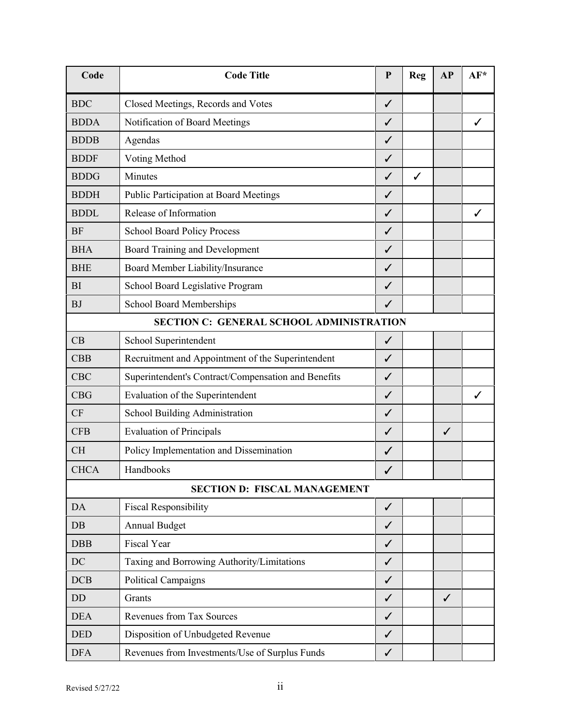| Code        | <b>Code Title</b>                                   | ${\bf P}$    | Reg          | AP           | AF* |
|-------------|-----------------------------------------------------|--------------|--------------|--------------|-----|
| <b>BDC</b>  | Closed Meetings, Records and Votes                  | $\checkmark$ |              |              |     |
| <b>BDDA</b> | Notification of Board Meetings                      | ✓            |              |              | ✓   |
| <b>BDDB</b> | Agendas                                             | ✓            |              |              |     |
| <b>BDDF</b> | Voting Method                                       | ✓            |              |              |     |
| <b>BDDG</b> | Minutes                                             | ✓            | $\checkmark$ |              |     |
| <b>BDDH</b> | Public Participation at Board Meetings              | ✓            |              |              |     |
| <b>BDDL</b> | Release of Information                              | ✓            |              |              | ✓   |
| <b>BF</b>   | <b>School Board Policy Process</b>                  | ✓            |              |              |     |
| <b>BHA</b>  | Board Training and Development                      | ✓            |              |              |     |
| <b>BHE</b>  | Board Member Liability/Insurance                    | ✓            |              |              |     |
| <b>BI</b>   | School Board Legislative Program                    | ✓            |              |              |     |
| <b>BJ</b>   | <b>School Board Memberships</b>                     | ✓            |              |              |     |
|             | <b>SECTION C: GENERAL SCHOOL ADMINISTRATION</b>     |              |              |              |     |
| CB          | School Superintendent                               | $\checkmark$ |              |              |     |
| CBB         | Recruitment and Appointment of the Superintendent   | ✓            |              |              |     |
| <b>CBC</b>  | Superintendent's Contract/Compensation and Benefits | $\checkmark$ |              |              |     |
| <b>CBG</b>  | Evaluation of the Superintendent                    | $\checkmark$ |              |              | ✓   |
| CF          | School Building Administration                      | ✓            |              |              |     |
| <b>CFB</b>  | <b>Evaluation of Principals</b>                     | ✓            |              | $\checkmark$ |     |
| <b>CH</b>   | Policy Implementation and Dissemination             | $\checkmark$ |              |              |     |
| <b>CHCA</b> | Handbooks                                           | $\checkmark$ |              |              |     |
|             | <b>SECTION D: FISCAL MANAGEMENT</b>                 |              |              |              |     |
| <b>DA</b>   | <b>Fiscal Responsibility</b>                        | $\checkmark$ |              |              |     |
| DB          | Annual Budget                                       | $\checkmark$ |              |              |     |
| DBB         | Fiscal Year                                         | $\checkmark$ |              |              |     |
| DC          | Taxing and Borrowing Authority/Limitations          | ✓            |              |              |     |
| DCB         | <b>Political Campaigns</b>                          | $\checkmark$ |              |              |     |
| DD          | Grants                                              | $\checkmark$ |              | $\checkmark$ |     |
| <b>DEA</b>  | <b>Revenues from Tax Sources</b>                    | ✓            |              |              |     |
| <b>DED</b>  | Disposition of Unbudgeted Revenue                   | $\checkmark$ |              |              |     |
| <b>DFA</b>  | Revenues from Investments/Use of Surplus Funds      | $\checkmark$ |              |              |     |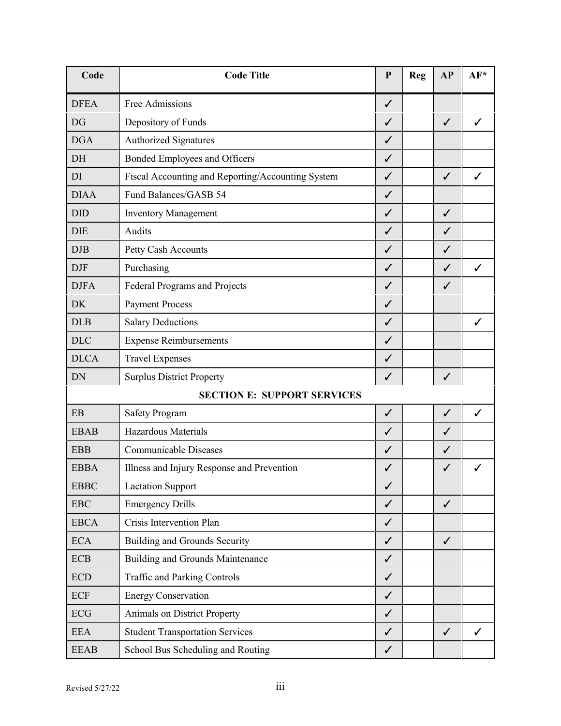| Code                        | <b>Code Title</b>                                 | ${\bf P}$    | <b>Reg</b> | AP           | AF* |
|-----------------------------|---------------------------------------------------|--------------|------------|--------------|-----|
| <b>DFEA</b>                 | Free Admissions                                   | $\checkmark$ |            |              |     |
| DG                          | Depository of Funds                               | ✓            |            | $\checkmark$ | ✓   |
| <b>DGA</b>                  | <b>Authorized Signatures</b>                      | ✓            |            |              |     |
| DH                          | Bonded Employees and Officers                     | $\checkmark$ |            |              |     |
| DI                          | Fiscal Accounting and Reporting/Accounting System | $\checkmark$ |            | $\checkmark$ | ✓   |
| <b>DIAA</b>                 | Fund Balances/GASB 54                             | ✓            |            |              |     |
| <b>DID</b>                  | <b>Inventory Management</b>                       | $\checkmark$ |            | $\checkmark$ |     |
| <b>DIE</b>                  | Audits                                            | ✓            |            | ✓            |     |
| DJB                         | Petty Cash Accounts                               | ✓            |            | ✓            |     |
| <b>DJF</b>                  | Purchasing                                        | ✓            |            | ✓            | ✓   |
| <b>DJFA</b>                 | Federal Programs and Projects                     | $\checkmark$ |            | $\checkmark$ |     |
| <b>DK</b>                   | <b>Payment Process</b>                            | $\checkmark$ |            |              |     |
| <b>DLB</b>                  | <b>Salary Deductions</b>                          | ✓            |            |              | ✓   |
| <b>DLC</b>                  | <b>Expense Reimbursements</b>                     | $\checkmark$ |            |              |     |
| <b>DLCA</b>                 | <b>Travel Expenses</b>                            | ✓            |            |              |     |
| <b>DN</b>                   | <b>Surplus District Property</b>                  | ✓            |            | $\checkmark$ |     |
|                             | <b>SECTION E: SUPPORT SERVICES</b>                |              |            |              |     |
| EB                          | <b>Safety Program</b>                             | $\checkmark$ |            | $\checkmark$ | ✓   |
| <b>EBAB</b>                 | <b>Hazardous Materials</b>                        | ✓            |            | ✓            |     |
| <b>EBB</b>                  | <b>Communicable Diseases</b>                      | $\checkmark$ |            | ✓            |     |
| <b>EBBA</b>                 | Illness and Injury Response and Prevention        | ✓            |            | ✓            |     |
| <b>EBBC</b>                 | <b>Lactation Support</b>                          | ✓            |            |              |     |
| <b>EBC</b>                  | <b>Emergency Drills</b>                           | $\checkmark$ |            | $\checkmark$ |     |
| <b>EBCA</b>                 | Crisis Intervention Plan                          | $\checkmark$ |            |              |     |
| <b>ECA</b>                  | <b>Building and Grounds Security</b>              | $\checkmark$ |            | $\checkmark$ |     |
| <b>ECB</b>                  | <b>Building and Grounds Maintenance</b>           | $\checkmark$ |            |              |     |
| $\ensuremath{\mathrm{ECD}}$ | <b>Traffic and Parking Controls</b>               | $\checkmark$ |            |              |     |
| ECF                         | <b>Energy Conservation</b>                        | $\checkmark$ |            |              |     |
| <b>ECG</b>                  | Animals on District Property                      | $\checkmark$ |            |              |     |
| <b>EEA</b>                  | <b>Student Transportation Services</b>            | $\checkmark$ |            | $\checkmark$ | ✓   |
| <b>EEAB</b>                 | School Bus Scheduling and Routing                 | $\checkmark$ |            |              |     |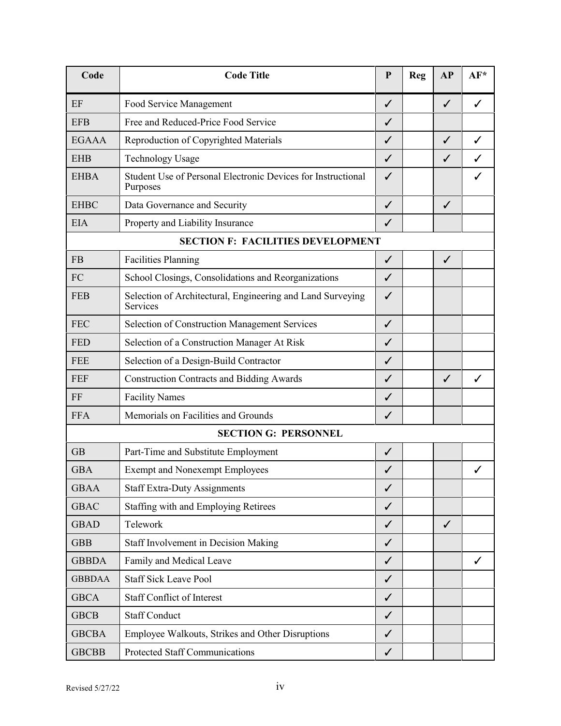| Code          | <b>Code Title</b>                                                        | $\mathbf{P}$ | Reg | AP           | $AF*$        |
|---------------|--------------------------------------------------------------------------|--------------|-----|--------------|--------------|
| EF            | Food Service Management                                                  | $\checkmark$ |     | $\checkmark$ | $\checkmark$ |
| <b>EFB</b>    | Free and Reduced-Price Food Service                                      | $\checkmark$ |     |              |              |
| <b>EGAAA</b>  | Reproduction of Copyrighted Materials                                    | ✓            |     | ✓            | ✓            |
| <b>EHB</b>    | <b>Technology Usage</b>                                                  | $\checkmark$ |     | $\checkmark$ |              |
| <b>EHBA</b>   | Student Use of Personal Electronic Devices for Instructional<br>Purposes | ✓            |     |              |              |
| <b>EHBC</b>   | Data Governance and Security                                             | $\checkmark$ |     | $\checkmark$ |              |
| <b>EIA</b>    | Property and Liability Insurance                                         | ✓            |     |              |              |
|               | <b>SECTION F: FACILITIES DEVELOPMENT</b>                                 |              |     |              |              |
| <b>FB</b>     | <b>Facilities Planning</b>                                               | $\checkmark$ |     | $\checkmark$ |              |
| FC            | School Closings, Consolidations and Reorganizations                      | ✓            |     |              |              |
| <b>FEB</b>    | Selection of Architectural, Engineering and Land Surveying<br>Services   | $\checkmark$ |     |              |              |
| <b>FEC</b>    | <b>Selection of Construction Management Services</b>                     | $\checkmark$ |     |              |              |
| <b>FED</b>    | Selection of a Construction Manager At Risk                              | $\checkmark$ |     |              |              |
| <b>FEE</b>    | Selection of a Design-Build Contractor                                   | $\checkmark$ |     |              |              |
| FEF           | <b>Construction Contracts and Bidding Awards</b>                         | $\checkmark$ |     | $\checkmark$ | ✓            |
| FF            | <b>Facility Names</b>                                                    | ✓            |     |              |              |
| <b>FFA</b>    | Memorials on Facilities and Grounds                                      | ✓            |     |              |              |
|               | <b>SECTION G: PERSONNEL</b>                                              |              |     |              |              |
| <b>GB</b>     | Part-Time and Substitute Employment                                      | $\checkmark$ |     |              |              |
| <b>GBA</b>    | <b>Exempt and Nonexempt Employees</b>                                    | ✓            |     |              |              |
| <b>GBAA</b>   | <b>Staff Extra-Duty Assignments</b>                                      | $\checkmark$ |     |              |              |
| <b>GBAC</b>   | Staffing with and Employing Retirees                                     | $\checkmark$ |     |              |              |
| <b>GBAD</b>   | Telework                                                                 | $\checkmark$ |     | ✓            |              |
| <b>GBB</b>    | <b>Staff Involvement in Decision Making</b>                              | $\checkmark$ |     |              |              |
| <b>GBBDA</b>  | Family and Medical Leave                                                 | $\checkmark$ |     |              |              |
| <b>GBBDAA</b> | <b>Staff Sick Leave Pool</b>                                             | $\checkmark$ |     |              |              |
| <b>GBCA</b>   | <b>Staff Conflict of Interest</b>                                        | $\checkmark$ |     |              |              |
| <b>GBCB</b>   | <b>Staff Conduct</b>                                                     | $\checkmark$ |     |              |              |
| <b>GBCBA</b>  | Employee Walkouts, Strikes and Other Disruptions                         | $\checkmark$ |     |              |              |
| <b>GBCBB</b>  | Protected Staff Communications                                           | $\checkmark$ |     |              |              |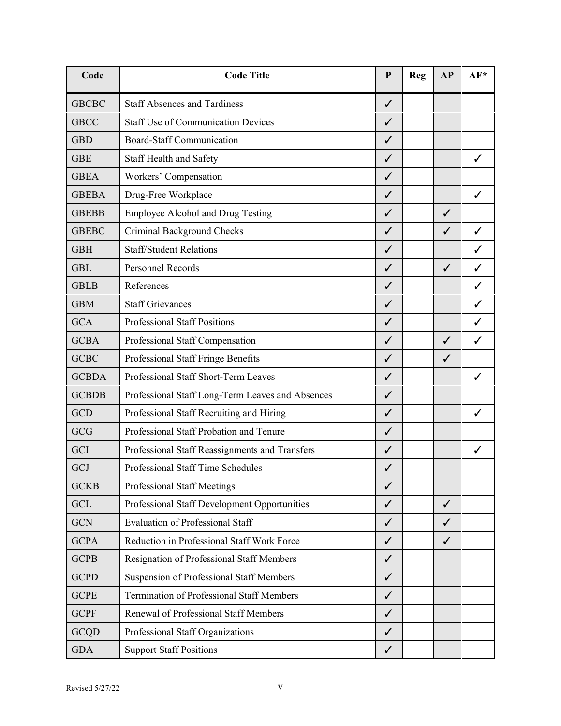| Code         | <b>Code Title</b>                                | ${\bf P}$    | <b>Reg</b> | AP           | AF*          |
|--------------|--------------------------------------------------|--------------|------------|--------------|--------------|
| <b>GBCBC</b> | <b>Staff Absences and Tardiness</b>              | $\checkmark$ |            |              |              |
| <b>GBCC</b>  | <b>Staff Use of Communication Devices</b>        | $\checkmark$ |            |              |              |
| <b>GBD</b>   | <b>Board-Staff Communication</b>                 | ✓            |            |              |              |
| <b>GBE</b>   | Staff Health and Safety                          | $\checkmark$ |            |              | ✓            |
| <b>GBEA</b>  | Workers' Compensation                            | ✓            |            |              |              |
| <b>GBEBA</b> | Drug-Free Workplace                              | ✓            |            |              | ✓            |
| <b>GBEBB</b> | <b>Employee Alcohol and Drug Testing</b>         | $\checkmark$ |            | $\checkmark$ |              |
| <b>GBEBC</b> | Criminal Background Checks                       | $\checkmark$ |            | ✓            | $\checkmark$ |
| <b>GBH</b>   | <b>Staff/Student Relations</b>                   | ✓            |            |              | ✓            |
| <b>GBL</b>   | Personnel Records                                | $\checkmark$ |            | $\checkmark$ | ✓            |
| <b>GBLB</b>  | References                                       | ✓            |            |              | ✓            |
| <b>GBM</b>   | <b>Staff Grievances</b>                          | ✓            |            |              | ✓            |
| <b>GCA</b>   | <b>Professional Staff Positions</b>              | ✓            |            |              | ✓            |
| <b>GCBA</b>  | Professional Staff Compensation                  | $\checkmark$ |            | $\checkmark$ | $\checkmark$ |
| <b>GCBC</b>  | Professional Staff Fringe Benefits               | ✓            |            | ✓            |              |
| <b>GCBDA</b> | Professional Staff Short-Term Leaves             | ✓            |            |              | ✓            |
| <b>GCBDB</b> | Professional Staff Long-Term Leaves and Absences | $\checkmark$ |            |              |              |
| <b>GCD</b>   | Professional Staff Recruiting and Hiring         | ✓            |            |              | ✓            |
| GCG          | Professional Staff Probation and Tenure          | ✓            |            |              |              |
| GCI          | Professional Staff Reassignments and Transfers   | $\checkmark$ |            |              | $\checkmark$ |
| GCJ          | Professional Staff Time Schedules                | ✓            |            |              |              |
| <b>GCKB</b>  | <b>Professional Staff Meetings</b>               | ✓            |            |              |              |
| <b>GCL</b>   | Professional Staff Development Opportunities     | $\checkmark$ |            | $\checkmark$ |              |
| <b>GCN</b>   | <b>Evaluation of Professional Staff</b>          | $\checkmark$ |            | ✓            |              |
| <b>GCPA</b>  | Reduction in Professional Staff Work Force       | $\checkmark$ |            | ✓            |              |
| <b>GCPB</b>  | Resignation of Professional Staff Members        | $\checkmark$ |            |              |              |
| <b>GCPD</b>  | <b>Suspension of Professional Staff Members</b>  | $\checkmark$ |            |              |              |
| <b>GCPE</b>  | <b>Termination of Professional Staff Members</b> | $\checkmark$ |            |              |              |
| <b>GCPF</b>  | Renewal of Professional Staff Members            | $\checkmark$ |            |              |              |
| <b>GCQD</b>  | Professional Staff Organizations                 | $\checkmark$ |            |              |              |
| <b>GDA</b>   | <b>Support Staff Positions</b>                   | ✓            |            |              |              |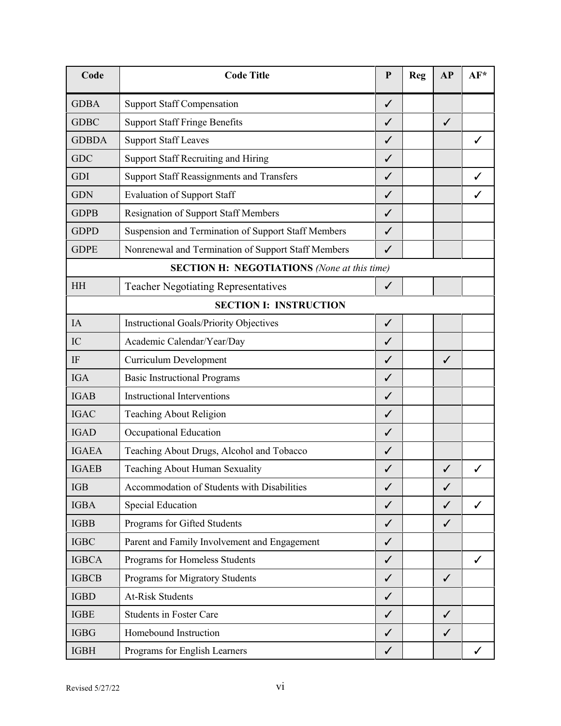| Code                                               | <b>Code Title</b>                                   | $\mathbf{P}$ | <b>Reg</b> | AP           | AF* |  |  |
|----------------------------------------------------|-----------------------------------------------------|--------------|------------|--------------|-----|--|--|
| <b>GDBA</b>                                        | <b>Support Staff Compensation</b>                   | $\checkmark$ |            |              |     |  |  |
| <b>GDBC</b>                                        | <b>Support Staff Fringe Benefits</b>                | $\checkmark$ |            | $\checkmark$ |     |  |  |
| <b>GDBDA</b>                                       | <b>Support Staff Leaves</b>                         | ✓            |            |              | ✓   |  |  |
| <b>GDC</b>                                         | <b>Support Staff Recruiting and Hiring</b>          | $\checkmark$ |            |              |     |  |  |
| <b>GDI</b>                                         | <b>Support Staff Reassignments and Transfers</b>    | $\checkmark$ |            |              | ✓   |  |  |
| <b>GDN</b>                                         | <b>Evaluation of Support Staff</b>                  | ✓            |            |              |     |  |  |
| <b>GDPB</b>                                        | <b>Resignation of Support Staff Members</b>         | $\checkmark$ |            |              |     |  |  |
| <b>GDPD</b>                                        | Suspension and Termination of Support Staff Members | $\checkmark$ |            |              |     |  |  |
| <b>GDPE</b>                                        | Nonrenewal and Termination of Support Staff Members | $\checkmark$ |            |              |     |  |  |
| <b>SECTION H: NEGOTIATIONS</b> (None at this time) |                                                     |              |            |              |     |  |  |
| <b>HH</b>                                          | <b>Teacher Negotiating Representatives</b>          | $\checkmark$ |            |              |     |  |  |
| <b>SECTION I: INSTRUCTION</b>                      |                                                     |              |            |              |     |  |  |
| IA                                                 | <b>Instructional Goals/Priority Objectives</b>      | $\checkmark$ |            |              |     |  |  |
| IC                                                 | Academic Calendar/Year/Day                          | $\checkmark$ |            |              |     |  |  |
| IF                                                 | <b>Curriculum Development</b>                       | ✓            |            | ✓            |     |  |  |
| <b>IGA</b>                                         | <b>Basic Instructional Programs</b>                 | $\checkmark$ |            |              |     |  |  |
| <b>IGAB</b>                                        | <b>Instructional Interventions</b>                  | ✓            |            |              |     |  |  |
| <b>IGAC</b>                                        | <b>Teaching About Religion</b>                      | ✓            |            |              |     |  |  |
| <b>IGAD</b>                                        | Occupational Education                              | ✓            |            |              |     |  |  |
| <b>IGAEA</b>                                       | Teaching About Drugs, Alcohol and Tobacco           | $\checkmark$ |            |              |     |  |  |
| <b>IGAEB</b>                                       | Teaching About Human Sexuality                      | ✓            |            | $\checkmark$ |     |  |  |
| <b>IGB</b>                                         | Accommodation of Students with Disabilities         | ✓            |            | $\checkmark$ |     |  |  |
| <b>IGBA</b>                                        | <b>Special Education</b>                            | $\checkmark$ |            | $\checkmark$ | ✓   |  |  |
| <b>IGBB</b>                                        | Programs for Gifted Students                        | $\checkmark$ |            | $\checkmark$ |     |  |  |
| <b>IGBC</b>                                        | Parent and Family Involvement and Engagement        | $\checkmark$ |            |              |     |  |  |
| <b>IGBCA</b>                                       | Programs for Homeless Students                      | $\checkmark$ |            |              | ✓   |  |  |
| <b>IGBCB</b>                                       | Programs for Migratory Students                     | $\checkmark$ |            | ✓            |     |  |  |
| <b>IGBD</b>                                        | <b>At-Risk Students</b>                             | $\checkmark$ |            |              |     |  |  |
| <b>IGBE</b>                                        | <b>Students in Foster Care</b>                      | $\checkmark$ |            | $\checkmark$ |     |  |  |
| <b>IGBG</b>                                        | Homebound Instruction                               | $\checkmark$ |            | ✓            |     |  |  |
| <b>IGBH</b>                                        | Programs for English Learners                       | $\checkmark$ |            |              | ✓   |  |  |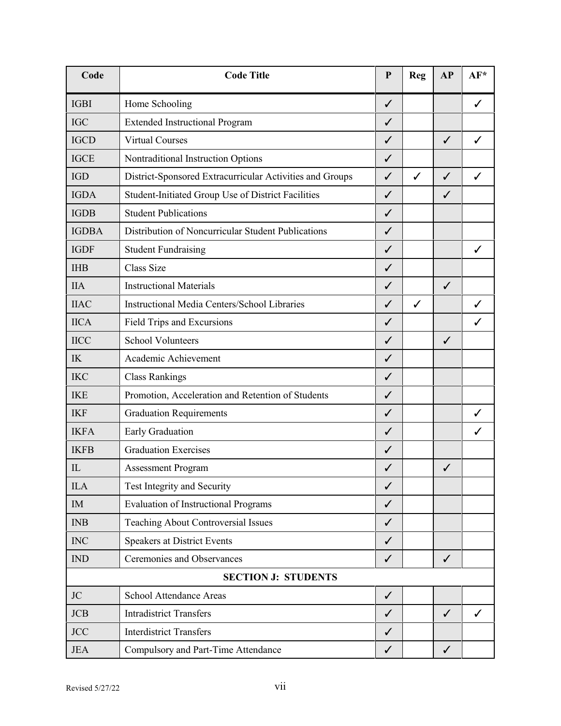| Code         | <b>Code Title</b>                                        | $\mathbf{P}$ | <b>Reg</b>   | AP           | AF*          |
|--------------|----------------------------------------------------------|--------------|--------------|--------------|--------------|
| <b>IGBI</b>  | Home Schooling                                           | $\checkmark$ |              |              | ✓            |
| <b>IGC</b>   | <b>Extended Instructional Program</b>                    | $\checkmark$ |              |              |              |
| <b>IGCD</b>  | <b>Virtual Courses</b>                                   | ✓            |              | ✓            | ✓            |
| <b>IGCE</b>  | Nontraditional Instruction Options                       | ✓            |              |              |              |
| <b>IGD</b>   | District-Sponsored Extracurricular Activities and Groups | $\checkmark$ | $\checkmark$ | $\checkmark$ | $\checkmark$ |
| <b>IGDA</b>  | Student-Initiated Group Use of District Facilities       | ✓            |              | ✓            |              |
| <b>IGDB</b>  | <b>Student Publications</b>                              | $\checkmark$ |              |              |              |
| <b>IGDBA</b> | Distribution of Noncurricular Student Publications       | $\checkmark$ |              |              |              |
| <b>IGDF</b>  | <b>Student Fundraising</b>                               | ✓            |              |              | ✓            |
| <b>IHB</b>   | <b>Class Size</b>                                        | $\checkmark$ |              |              |              |
| <b>IIA</b>   | <b>Instructional Materials</b>                           | $\checkmark$ |              | $\checkmark$ |              |
| <b>IIAC</b>  | <b>Instructional Media Centers/School Libraries</b>      | $\checkmark$ | $\checkmark$ |              | ✓            |
| <b>IICA</b>  | Field Trips and Excursions                               | ✓            |              |              | ✓            |
| <b>IICC</b>  | <b>School Volunteers</b>                                 | $\checkmark$ |              | $\checkmark$ |              |
| $I\!K$       | Academic Achievement                                     | ✓            |              |              |              |
| <b>IKC</b>   | <b>Class Rankings</b>                                    | ✓            |              |              |              |
| <b>IKE</b>   | Promotion, Acceleration and Retention of Students        | $\checkmark$ |              |              |              |
| <b>IKF</b>   | <b>Graduation Requirements</b>                           | $\checkmark$ |              |              | ✓            |
| <b>IKFA</b>  | Early Graduation                                         | ✓            |              |              | ✓            |
| <b>IKFB</b>  | <b>Graduation Exercises</b>                              | $\checkmark$ |              |              |              |
| $\mathbb{L}$ | <b>Assessment Program</b>                                | ✓            |              | ✓            |              |
| <b>ILA</b>   | Test Integrity and Security                              | ✓            |              |              |              |
| IM           | <b>Evaluation of Instructional Programs</b>              | $\checkmark$ |              |              |              |
| <b>INB</b>   | Teaching About Controversial Issues                      | $\checkmark$ |              |              |              |
| <b>INC</b>   | <b>Speakers at District Events</b>                       | $\checkmark$ |              |              |              |
| IND          | Ceremonies and Observances                               | $\checkmark$ |              | $\checkmark$ |              |
|              | <b>SECTION J: STUDENTS</b>                               |              |              |              |              |
| JC           | <b>School Attendance Areas</b>                           | $\checkmark$ |              |              |              |
| <b>JCB</b>   | <b>Intradistrict Transfers</b>                           | $\checkmark$ |              | $\checkmark$ | ✓            |
| <b>JCC</b>   | <b>Interdistrict Transfers</b>                           | $\checkmark$ |              |              |              |
| <b>JEA</b>   | Compulsory and Part-Time Attendance                      | ✓            |              | $\checkmark$ |              |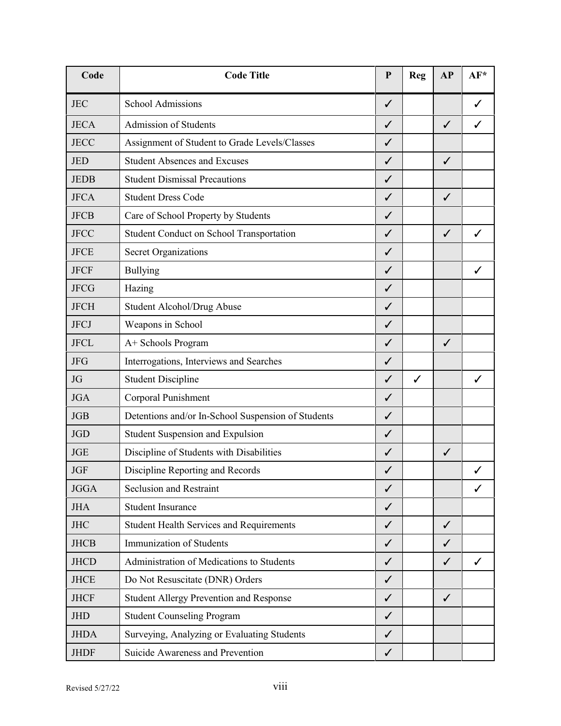| Code        | <b>Code Title</b>                                  | ${\bf P}$    | <b>Reg</b>   | AP           | AF*          |
|-------------|----------------------------------------------------|--------------|--------------|--------------|--------------|
| <b>JEC</b>  | School Admissions                                  | $\checkmark$ |              |              | ✓            |
| <b>JECA</b> | Admission of Students                              | ✓            |              | $\checkmark$ | ✓            |
| <b>JECC</b> | Assignment of Student to Grade Levels/Classes      | $\checkmark$ |              |              |              |
| <b>JED</b>  | <b>Student Absences and Excuses</b>                | $\checkmark$ |              | ✓            |              |
| <b>JEDB</b> | <b>Student Dismissal Precautions</b>               | ✓            |              |              |              |
| <b>JFCA</b> | <b>Student Dress Code</b>                          | ✓            |              | ✓            |              |
| <b>JFCB</b> | Care of School Property by Students                | ✓            |              |              |              |
| <b>JFCC</b> | <b>Student Conduct on School Transportation</b>    | ✓            |              | ✓            | ✓            |
| <b>JFCE</b> | <b>Secret Organizations</b>                        | $\checkmark$ |              |              |              |
| <b>JFCF</b> | <b>Bullying</b>                                    | ✓            |              |              | ✓            |
| <b>JFCG</b> | Hazing                                             | ✓            |              |              |              |
| <b>JFCH</b> | Student Alcohol/Drug Abuse                         | $\checkmark$ |              |              |              |
| <b>JFCJ</b> | Weapons in School                                  | ✓            |              |              |              |
| <b>JFCL</b> | A+ Schools Program                                 | ✓            |              | $\checkmark$ |              |
| <b>JFG</b>  | Interrogations, Interviews and Searches            | $\checkmark$ |              |              |              |
| <b>JG</b>   | <b>Student Discipline</b>                          | $\checkmark$ | $\checkmark$ |              | $\checkmark$ |
| <b>JGA</b>  | Corporal Punishment                                | $\checkmark$ |              |              |              |
| <b>JGB</b>  | Detentions and/or In-School Suspension of Students | $\checkmark$ |              |              |              |
| <b>JGD</b>  | Student Suspension and Expulsion                   | $\checkmark$ |              |              |              |
| <b>JGE</b>  | Discipline of Students with Disabilities           | $\checkmark$ |              | $\checkmark$ |              |
| <b>JGF</b>  | Discipline Reporting and Records                   | ✓            |              |              | ✓            |
| <b>JGGA</b> | Seclusion and Restraint                            | $\checkmark$ |              |              | ✓            |
| <b>JHA</b>  | <b>Student Insurance</b>                           | $\checkmark$ |              |              |              |
| <b>JHC</b>  | <b>Student Health Services and Requirements</b>    | ✓            |              | $\checkmark$ |              |
| <b>JHCB</b> | Immunization of Students                           | $\checkmark$ |              | $\checkmark$ |              |
| <b>JHCD</b> | Administration of Medications to Students          | $\checkmark$ |              | $\checkmark$ | ✓            |
| <b>JHCE</b> | Do Not Resuscitate (DNR) Orders                    | $\checkmark$ |              |              |              |
| <b>JHCF</b> | <b>Student Allergy Prevention and Response</b>     | $\checkmark$ |              | $\checkmark$ |              |
| <b>JHD</b>  | <b>Student Counseling Program</b>                  | $\checkmark$ |              |              |              |
| <b>JHDA</b> | Surveying, Analyzing or Evaluating Students        | $\checkmark$ |              |              |              |
| <b>JHDF</b> | Suicide Awareness and Prevention                   | $\checkmark$ |              |              |              |